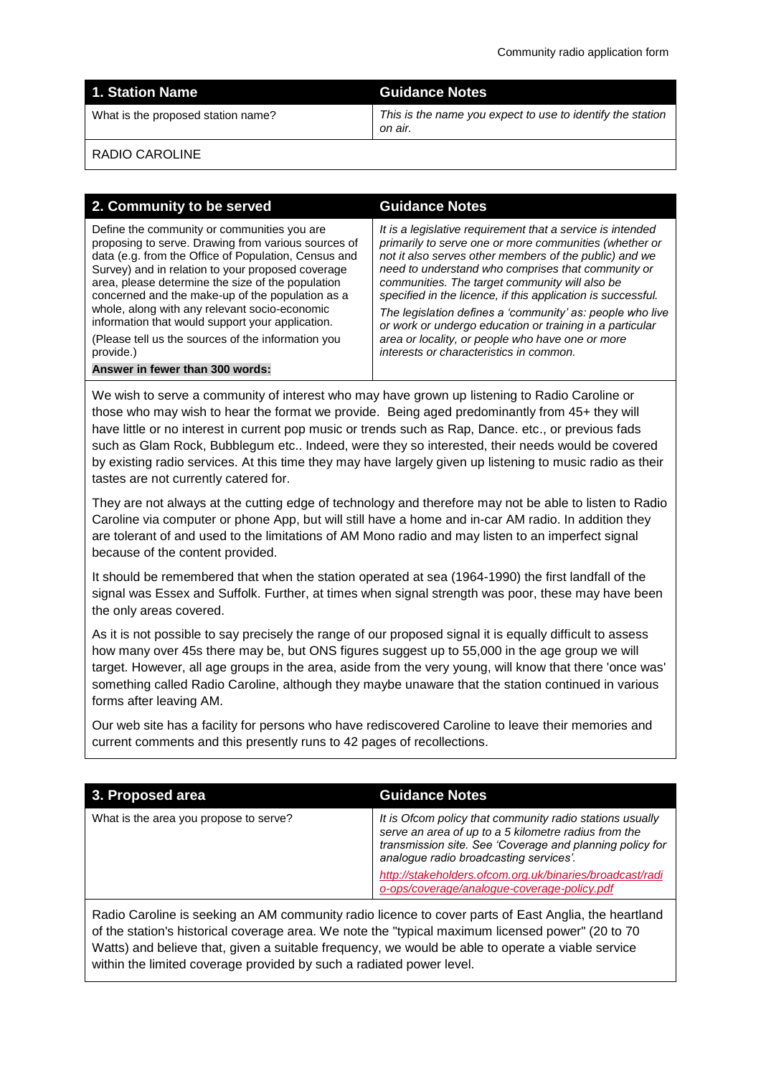|  | <b>1. Station Name</b> |  |
|--|------------------------|--|
|  |                        |  |
|  |                        |  |

#### **1. Station Name Guidance Notes**

What is the proposed station name? *This is the name you expect to use to identify the station on air.*

RADIO CAROLINE

## **2. Community to be served Guidance Notes**

Define the community or communities you are proposing to serve. Drawing from various sources of data (e.g. from the Office of Population, Census and Survey) and in relation to your proposed coverage area, please determine the size of the population concerned and the make-up of the population as a whole, along with any relevant socio-economic information that would support your application.

(Please tell us the sources of the information you provide.)

**Answer in fewer than 300 words:**

*It is a legislative requirement that a service is intended primarily to serve one or more communities (whether or not it also serves other members of the public) and we need to understand who comprises that community or communities. The target community will also be specified in the licence, if this application is successful.* 

*The legislation defines a 'community' as: people who live or work or undergo education or training in a particular area or locality, or people who have one or more interests or characteristics in common.*

We wish to serve a community of interest who may have grown up listening to Radio Caroline or those who may wish to hear the format we provide. Being aged predominantly from 45+ they will have little or no interest in current pop music or trends such as Rap, Dance. etc., or previous fads such as Glam Rock, Bubblegum etc.. Indeed, were they so interested, their needs would be covered by existing radio services. At this time they may have largely given up listening to music radio as their tastes are not currently catered for.

They are not always at the cutting edge of technology and therefore may not be able to listen to Radio Caroline via computer or phone App, but will still have a home and in-car AM radio. In addition they are tolerant of and used to the limitations of AM Mono radio and may listen to an imperfect signal because of the content provided.

It should be remembered that when the station operated at sea (1964-1990) the first landfall of the signal was Essex and Suffolk. Further, at times when signal strength was poor, these may have been the only areas covered.

As it is not possible to say precisely the range of our proposed signal it is equally difficult to assess how many over 45s there may be, but ONS figures suggest up to 55,000 in the age group we will target. However, all age groups in the area, aside from the very young, will know that there 'once was' something called Radio Caroline, although they maybe unaware that the station continued in various forms after leaving AM.

Our web site has a facility for persons who have rediscovered Caroline to leave their memories and current comments and this presently runs to 42 pages of recollections.

| 3. Proposed area                                                                                     | <b>Guidance Notes</b>                                                                                                                                                                                                  |  |
|------------------------------------------------------------------------------------------------------|------------------------------------------------------------------------------------------------------------------------------------------------------------------------------------------------------------------------|--|
| What is the area you propose to serve?                                                               | It is Ofcom policy that community radio stations usually<br>serve an area of up to a 5 kilometre radius from the<br>transmission site. See 'Coverage and planning policy for<br>analogue radio broadcasting services'. |  |
|                                                                                                      | http://stakeholders.ofcom.org.uk/binaries/broadcast/radi<br>o-ops/coverage/analogue-coverage-policy.pdf                                                                                                                |  |
| Radio Caroline is seeking an AM community radio licence to cover parts of East Anglia, the heartland |                                                                                                                                                                                                                        |  |

of the station's historical coverage area. We note the "typical maximum licensed power" (20 to 70 Watts) and believe that, given a suitable frequency, we would be able to operate a viable service within the limited coverage provided by such a radiated power level.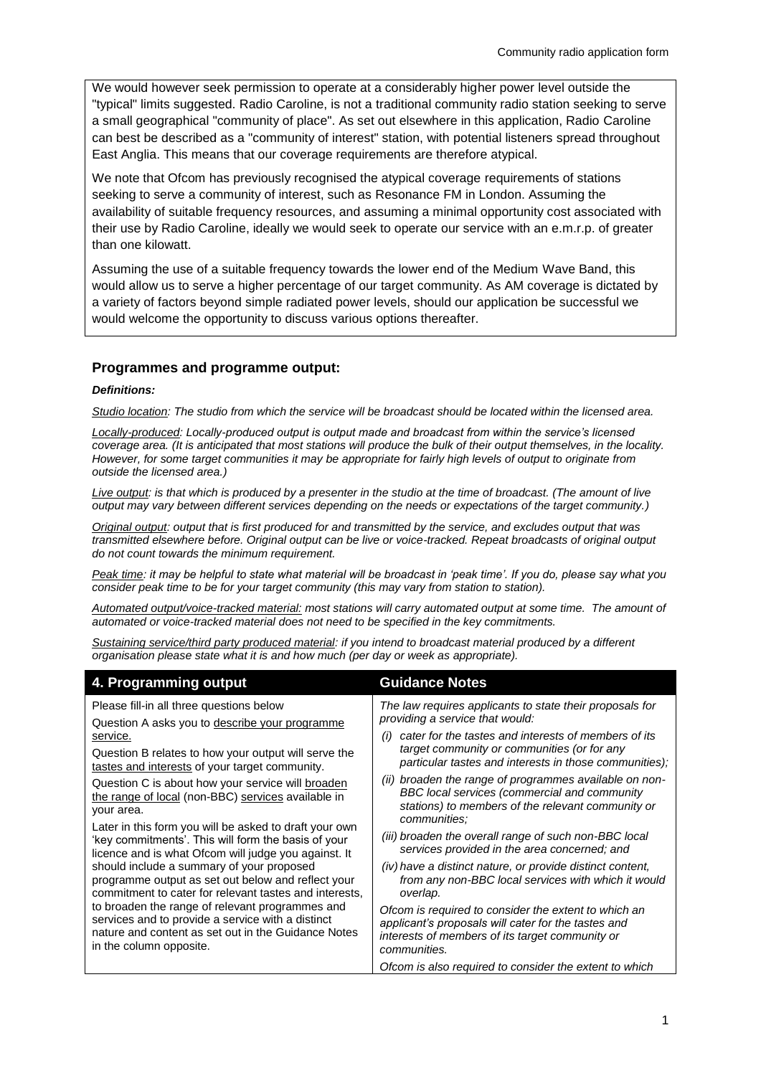We would however seek permission to operate at a considerably higher power level outside the "typical" limits suggested. Radio Caroline, is not a traditional community radio station seeking to serve a small geographical "community of place". As set out elsewhere in this application, Radio Caroline can best be described as a "community of interest" station, with potential listeners spread throughout East Anglia. This means that our coverage requirements are therefore atypical.

We note that Ofcom has previously recognised the atypical coverage requirements of stations seeking to serve a community of interest, such as Resonance FM in London. Assuming the availability of suitable frequency resources, and assuming a minimal opportunity cost associated with their use by Radio Caroline, ideally we would seek to operate our service with an e.m.r.p. of greater than one kilowatt.

Assuming the use of a suitable frequency towards the lower end of the Medium Wave Band, this would allow us to serve a higher percentage of our target community. As AM coverage is dictated by a variety of factors beyond simple radiated power levels, should our application be successful we would welcome the opportunity to discuss various options thereafter.

#### **Programmes and programme output:**

#### *Definitions:*

*Studio location: The studio from which the service will be broadcast should be located within the licensed area.* 

*Locally-produced: Locally-produced output is output made and broadcast from within the service's licensed coverage area. (It is anticipated that most stations will produce the bulk of their output themselves, in the locality. However, for some target communities it may be appropriate for fairly high levels of output to originate from outside the licensed area.)*

*Live output: is that which is produced by a presenter in the studio at the time of broadcast. (The amount of live output may vary between different services depending on the needs or expectations of the target community.)*

*Original output: output that is first produced for and transmitted by the service, and excludes output that was transmitted elsewhere before. Original output can be live or voice-tracked. Repeat broadcasts of original output do not count towards the minimum requirement.*

*Peak time: it may be helpful to state what material will be broadcast in 'peak time'. If you do, please say what you consider peak time to be for your target community (this may vary from station to station).*

*Automated output/voice-tracked material: most stations will carry automated output at some time. The amount of automated or voice-tracked material does not need to be specified in the key commitments.*

*Sustaining service/third party produced material: if you intend to broadcast material produced by a different organisation please state what it is and how much (per day or week as appropriate).* 

| 4. Programming output                                                                                                                                                                                                                                                                                                                                                                                                                                                                                                        | <b>Guidance Notes</b>                                                                                                                                                          |
|------------------------------------------------------------------------------------------------------------------------------------------------------------------------------------------------------------------------------------------------------------------------------------------------------------------------------------------------------------------------------------------------------------------------------------------------------------------------------------------------------------------------------|--------------------------------------------------------------------------------------------------------------------------------------------------------------------------------|
| Please fill-in all three questions below<br>Question A asks you to describe your programme                                                                                                                                                                                                                                                                                                                                                                                                                                   | The law requires applicants to state their proposals for<br>providing a service that would:                                                                                    |
| service.                                                                                                                                                                                                                                                                                                                                                                                                                                                                                                                     | cater for the tastes and interests of members of its<br>(i)                                                                                                                    |
| Question B relates to how your output will serve the<br>tastes and interests of your target community.                                                                                                                                                                                                                                                                                                                                                                                                                       | target community or communities (or for any<br>particular tastes and interests in those communities);                                                                          |
| Question C is about how your service will broaden<br>the range of local (non-BBC) services available in<br>your area.                                                                                                                                                                                                                                                                                                                                                                                                        | broaden the range of programmes available on non-<br>(ii)<br>BBC local services (commercial and community<br>stations) to members of the relevant community or<br>communities: |
| Later in this form you will be asked to draft your own<br>'key commitments'. This will form the basis of your<br>licence and is what Ofcom will judge you against. It<br>should include a summary of your proposed<br>programme output as set out below and reflect your<br>commitment to cater for relevant tastes and interests,<br>to broaden the range of relevant programmes and<br>services and to provide a service with a distinct<br>nature and content as set out in the Guidance Notes<br>in the column opposite. | (iii) broaden the overall range of such non-BBC local<br>services provided in the area concerned; and                                                                          |
|                                                                                                                                                                                                                                                                                                                                                                                                                                                                                                                              | (iv) have a distinct nature, or provide distinct content,<br>from any non-BBC local services with which it would<br>overlap.                                                   |
|                                                                                                                                                                                                                                                                                                                                                                                                                                                                                                                              | Ofcom is required to consider the extent to which an<br>applicant's proposals will cater for the tastes and<br>interests of members of its target community or<br>communities. |
|                                                                                                                                                                                                                                                                                                                                                                                                                                                                                                                              | Ofcom is also required to consider the extent to which                                                                                                                         |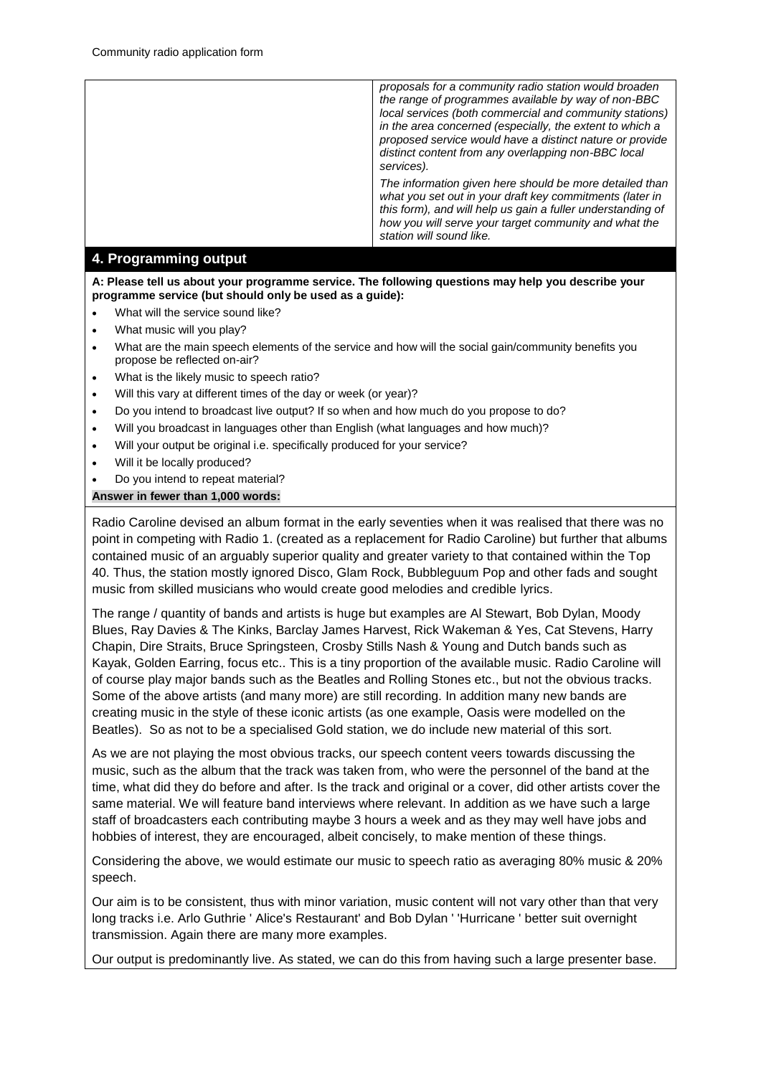*proposals for a community radio station would broaden the range of programmes available by way of non-BBC local services (both commercial and community stations) in the area concerned (especially, the extent to which a proposed service would have a distinct nature or provide distinct content from any overlapping non-BBC local services). The information given here should be more detailed than what you set out in your draft key commitments (later in this form), and will help us gain a fuller understanding of how you will serve your target community and what the station will sound like.* 

## **4. Programming output**

**A: Please tell us about your programme service. The following questions may help you describe your programme service (but should only be used as a guide):**

- What will the service sound like?
- What music will you play?
- What are the main speech elements of the service and how will the social gain/community benefits you propose be reflected on-air?
- What is the likely music to speech ratio?
- Will this vary at different times of the day or week (or year)?
- Do you intend to broadcast live output? If so when and how much do you propose to do?
- Will you broadcast in languages other than English (what languages and how much)?
- Will your output be original i.e. specifically produced for your service?
- Will it be locally produced?
- Do you intend to repeat material?

#### **Answer in fewer than 1,000 words:**

Radio Caroline devised an album format in the early seventies when it was realised that there was no point in competing with Radio 1. (created as a replacement for Radio Caroline) but further that albums contained music of an arguably superior quality and greater variety to that contained within the Top 40. Thus, the station mostly ignored Disco, Glam Rock, Bubbleguum Pop and other fads and sought music from skilled musicians who would create good melodies and credible lyrics.

The range / quantity of bands and artists is huge but examples are Al Stewart, Bob Dylan, Moody Blues, Ray Davies & The Kinks, Barclay James Harvest, Rick Wakeman & Yes, Cat Stevens, Harry Chapin, Dire Straits, Bruce Springsteen, Crosby Stills Nash & Young and Dutch bands such as Kayak, Golden Earring, focus etc.. This is a tiny proportion of the available music. Radio Caroline will of course play major bands such as the Beatles and Rolling Stones etc., but not the obvious tracks. Some of the above artists (and many more) are still recording. In addition many new bands are creating music in the style of these iconic artists (as one example, Oasis were modelled on the Beatles). So as not to be a specialised Gold station, we do include new material of this sort.

As we are not playing the most obvious tracks, our speech content veers towards discussing the music, such as the album that the track was taken from, who were the personnel of the band at the time, what did they do before and after. Is the track and original or a cover, did other artists cover the same material. We will feature band interviews where relevant. In addition as we have such a large staff of broadcasters each contributing maybe 3 hours a week and as they may well have jobs and hobbies of interest, they are encouraged, albeit concisely, to make mention of these things.

Considering the above, we would estimate our music to speech ratio as averaging 80% music & 20% speech.

Our aim is to be consistent, thus with minor variation, music content will not vary other than that very long tracks i.e. Arlo Guthrie ' Alice's Restaurant' and Bob Dylan ' 'Hurricane ' better suit overnight transmission. Again there are many more examples.

Our output is predominantly live. As stated, we can do this from having such a large presenter base.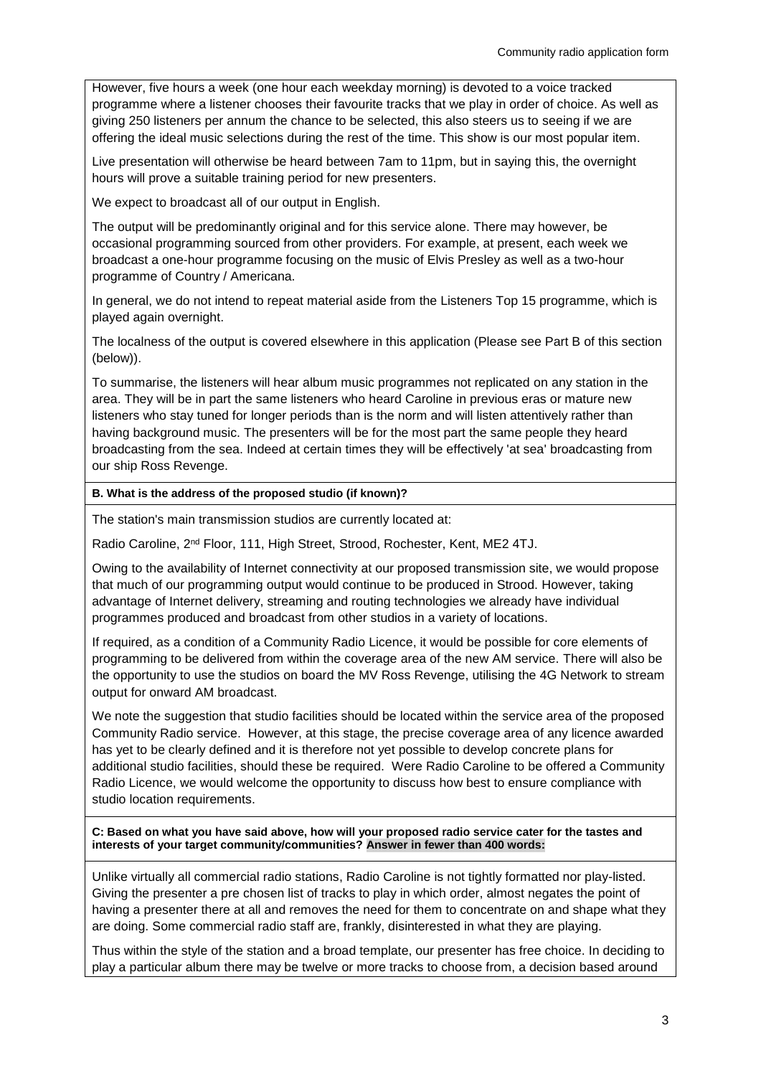However, five hours a week (one hour each weekday morning) is devoted to a voice tracked programme where a listener chooses their favourite tracks that we play in order of choice. As well as giving 250 listeners per annum the chance to be selected, this also steers us to seeing if we are offering the ideal music selections during the rest of the time. This show is our most popular item.

Live presentation will otherwise be heard between 7am to 11pm, but in saying this, the overnight hours will prove a suitable training period for new presenters.

We expect to broadcast all of our output in English.

The output will be predominantly original and for this service alone. There may however, be occasional programming sourced from other providers. For example, at present, each week we broadcast a one-hour programme focusing on the music of Elvis Presley as well as a two-hour programme of Country / Americana.

In general, we do not intend to repeat material aside from the Listeners Top 15 programme, which is played again overnight.

The localness of the output is covered elsewhere in this application (Please see Part B of this section (below)).

To summarise, the listeners will hear album music programmes not replicated on any station in the area. They will be in part the same listeners who heard Caroline in previous eras or mature new listeners who stay tuned for longer periods than is the norm and will listen attentively rather than having background music. The presenters will be for the most part the same people they heard broadcasting from the sea. Indeed at certain times they will be effectively 'at sea' broadcasting from our ship Ross Revenge.

#### **B. What is the address of the proposed studio (if known)?**

The station's main transmission studios are currently located at:

Radio Caroline, 2<sup>nd</sup> Floor, 111, High Street, Strood, Rochester, Kent, ME2 4TJ.

Owing to the availability of Internet connectivity at our proposed transmission site, we would propose that much of our programming output would continue to be produced in Strood. However, taking advantage of Internet delivery, streaming and routing technologies we already have individual programmes produced and broadcast from other studios in a variety of locations.

If required, as a condition of a Community Radio Licence, it would be possible for core elements of programming to be delivered from within the coverage area of the new AM service. There will also be the opportunity to use the studios on board the MV Ross Revenge, utilising the 4G Network to stream output for onward AM broadcast.

We note the suggestion that studio facilities should be located within the service area of the proposed Community Radio service. However, at this stage, the precise coverage area of any licence awarded has yet to be clearly defined and it is therefore not yet possible to develop concrete plans for additional studio facilities, should these be required. Were Radio Caroline to be offered a Community Radio Licence, we would welcome the opportunity to discuss how best to ensure compliance with studio location requirements.

**C: Based on what you have said above, how will your proposed radio service cater for the tastes and interests of your target community/communities? Answer in fewer than 400 words:**

Unlike virtually all commercial radio stations, Radio Caroline is not tightly formatted nor play-listed. Giving the presenter a pre chosen list of tracks to play in which order, almost negates the point of having a presenter there at all and removes the need for them to concentrate on and shape what they are doing. Some commercial radio staff are, frankly, disinterested in what they are playing.

Thus within the style of the station and a broad template, our presenter has free choice. In deciding to play a particular album there may be twelve or more tracks to choose from, a decision based around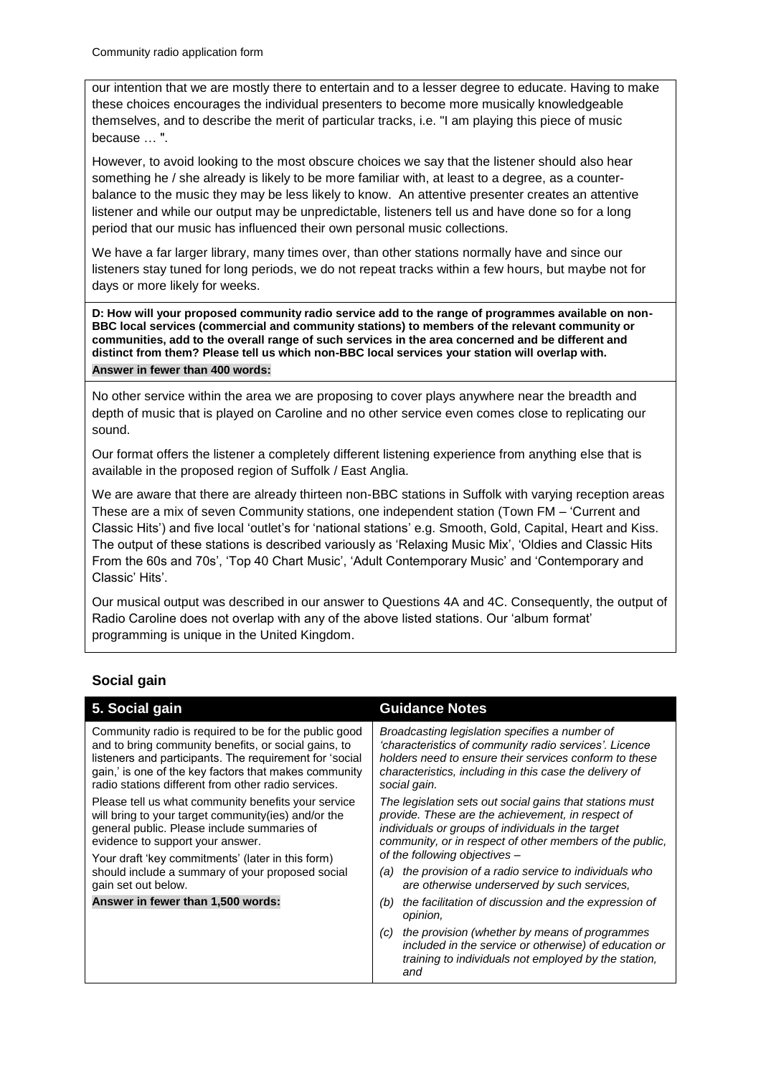our intention that we are mostly there to entertain and to a lesser degree to educate. Having to make these choices encourages the individual presenters to become more musically knowledgeable themselves, and to describe the merit of particular tracks, i.e. "I am playing this piece of music because … ".

However, to avoid looking to the most obscure choices we say that the listener should also hear something he / she already is likely to be more familiar with, at least to a degree, as a counterbalance to the music they may be less likely to know. An attentive presenter creates an attentive listener and while our output may be unpredictable, listeners tell us and have done so for a long period that our music has influenced their own personal music collections.

We have a far larger library, many times over, than other stations normally have and since our listeners stay tuned for long periods, we do not repeat tracks within a few hours, but maybe not for days or more likely for weeks.

**D: How will your proposed community radio service add to the range of programmes available on non-BBC local services (commercial and community stations) to members of the relevant community or communities, add to the overall range of such services in the area concerned and be different and distinct from them? Please tell us which non-BBC local services your station will overlap with. Answer in fewer than 400 words:**

No other service within the area we are proposing to cover plays anywhere near the breadth and depth of music that is played on Caroline and no other service even comes close to replicating our sound.

Our format offers the listener a completely different listening experience from anything else that is available in the proposed region of Suffolk / East Anglia.

We are aware that there are already thirteen non-BBC stations in Suffolk with varying reception areas These are a mix of seven Community stations, one independent station (Town FM – 'Current and Classic Hits') and five local 'outlet's for 'national stations' e.g. Smooth, Gold, Capital, Heart and Kiss. The output of these stations is described variously as 'Relaxing Music Mix', 'Oldies and Classic Hits From the 60s and 70s', 'Top 40 Chart Music', 'Adult Contemporary Music' and 'Contemporary and Classic' Hits'.

Our musical output was described in our answer to Questions 4A and 4C. Consequently, the output of Radio Caroline does not overlap with any of the above listed stations. Our 'album format' programming is unique in the United Kingdom.

## **Social gain**

| 5. Social gain                                                                                                                                                                                                                                                                                                                                                      | <b>Guidance Notes</b>                                                                                                                                                                                                                                            |
|---------------------------------------------------------------------------------------------------------------------------------------------------------------------------------------------------------------------------------------------------------------------------------------------------------------------------------------------------------------------|------------------------------------------------------------------------------------------------------------------------------------------------------------------------------------------------------------------------------------------------------------------|
| Community radio is required to be for the public good<br>and to bring community benefits, or social gains, to<br>listeners and participants. The requirement for 'social<br>gain,' is one of the key factors that makes community<br>radio stations different from other radio services.                                                                            | Broadcasting legislation specifies a number of<br>'characteristics of community radio services'. Licence<br>holders need to ensure their services conform to these<br>characteristics, including in this case the delivery of<br>social gain.                    |
| Please tell us what community benefits your service<br>will bring to your target community (ies) and/or the<br>general public. Please include summaries of<br>evidence to support your answer.<br>Your draft 'key commitments' (later in this form)<br>should include a summary of your proposed social<br>gain set out below.<br>Answer in fewer than 1,500 words: | The legislation sets out social gains that stations must<br>provide. These are the achievement, in respect of<br>individuals or groups of individuals in the target<br>community, or in respect of other members of the public,<br>of the following objectives - |
|                                                                                                                                                                                                                                                                                                                                                                     | the provision of a radio service to individuals who<br>(a)<br>are otherwise underserved by such services,                                                                                                                                                        |
|                                                                                                                                                                                                                                                                                                                                                                     | the facilitation of discussion and the expression of<br>(b)<br>opinion,                                                                                                                                                                                          |
|                                                                                                                                                                                                                                                                                                                                                                     | the provision (whether by means of programmes<br>(C)<br>included in the service or otherwise) of education or<br>training to individuals not employed by the station,<br>and                                                                                     |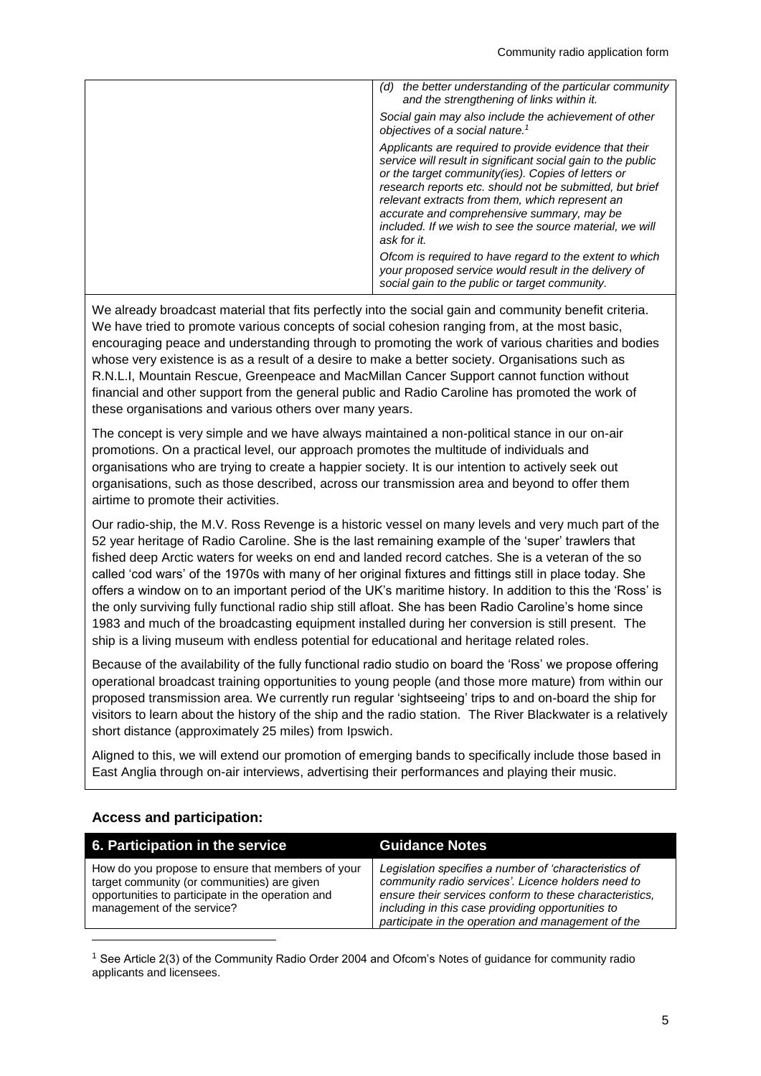| the better understanding of the particular community<br>(d)<br>and the strengthening of links within it.                                                                                                                                                                                                                                                                                                             |
|----------------------------------------------------------------------------------------------------------------------------------------------------------------------------------------------------------------------------------------------------------------------------------------------------------------------------------------------------------------------------------------------------------------------|
| Social gain may also include the achievement of other<br>objectives of a social nature. <sup>1</sup>                                                                                                                                                                                                                                                                                                                 |
| Applicants are required to provide evidence that their<br>service will result in significant social gain to the public<br>or the target community(ies). Copies of letters or<br>research reports etc. should not be submitted, but brief<br>relevant extracts from them, which represent an<br>accurate and comprehensive summary, may be<br>included. If we wish to see the source material, we will<br>ask for it. |
| Ofcom is required to have regard to the extent to which<br>your proposed service would result in the delivery of<br>social gain to the public or target community.                                                                                                                                                                                                                                                   |

We already broadcast material that fits perfectly into the social gain and community benefit criteria. We have tried to promote various concepts of social cohesion ranging from, at the most basic, encouraging peace and understanding through to promoting the work of various charities and bodies whose very existence is as a result of a desire to make a better society. Organisations such as R.N.L.I, Mountain Rescue, Greenpeace and MacMillan Cancer Support cannot function without financial and other support from the general public and Radio Caroline has promoted the work of these organisations and various others over many years.

The concept is very simple and we have always maintained a non-political stance in our on-air promotions. On a practical level, our approach promotes the multitude of individuals and organisations who are trying to create a happier society. It is our intention to actively seek out organisations, such as those described, across our transmission area and beyond to offer them airtime to promote their activities.

Our radio-ship, the M.V. Ross Revenge is a historic vessel on many levels and very much part of the 52 year heritage of Radio Caroline. She is the last remaining example of the 'super' trawlers that fished deep Arctic waters for weeks on end and landed record catches. She is a veteran of the so called 'cod wars' of the 1970s with many of her original fixtures and fittings still in place today. She offers a window on to an important period of the UK's maritime history. In addition to this the 'Ross' is the only surviving fully functional radio ship still afloat. She has been Radio Caroline's home since 1983 and much of the broadcasting equipment installed during her conversion is still present. The ship is a living museum with endless potential for educational and heritage related roles.

Because of the availability of the fully functional radio studio on board the 'Ross' we propose offering operational broadcast training opportunities to young people (and those more mature) from within our proposed transmission area. We currently run regular 'sightseeing' trips to and on-board the ship for visitors to learn about the history of the ship and the radio station. The River Blackwater is a relatively short distance (approximately 25 miles) from Ipswich.

Aligned to this, we will extend our promotion of emerging bands to specifically include those based in East Anglia through on-air interviews, advertising their performances and playing their music.

## **Access and participation:**

-

| 6. Participation in the service                                                                                                                                                     | <b>Guidance Notes</b>                                                                                                                                                                                                                                                             |
|-------------------------------------------------------------------------------------------------------------------------------------------------------------------------------------|-----------------------------------------------------------------------------------------------------------------------------------------------------------------------------------------------------------------------------------------------------------------------------------|
| How do you propose to ensure that members of your<br>target community (or communities) are given<br>opportunities to participate in the operation and<br>management of the service? | Legislation specifies a number of 'characteristics of<br>community radio services'. Licence holders need to<br>ensure their services conform to these characteristics,<br>including in this case providing opportunities to<br>participate in the operation and management of the |

<sup>1</sup> See Article 2(3) of the Community Radio Order 2004 and Ofcom's Notes of guidance for community radio applicants and licensees.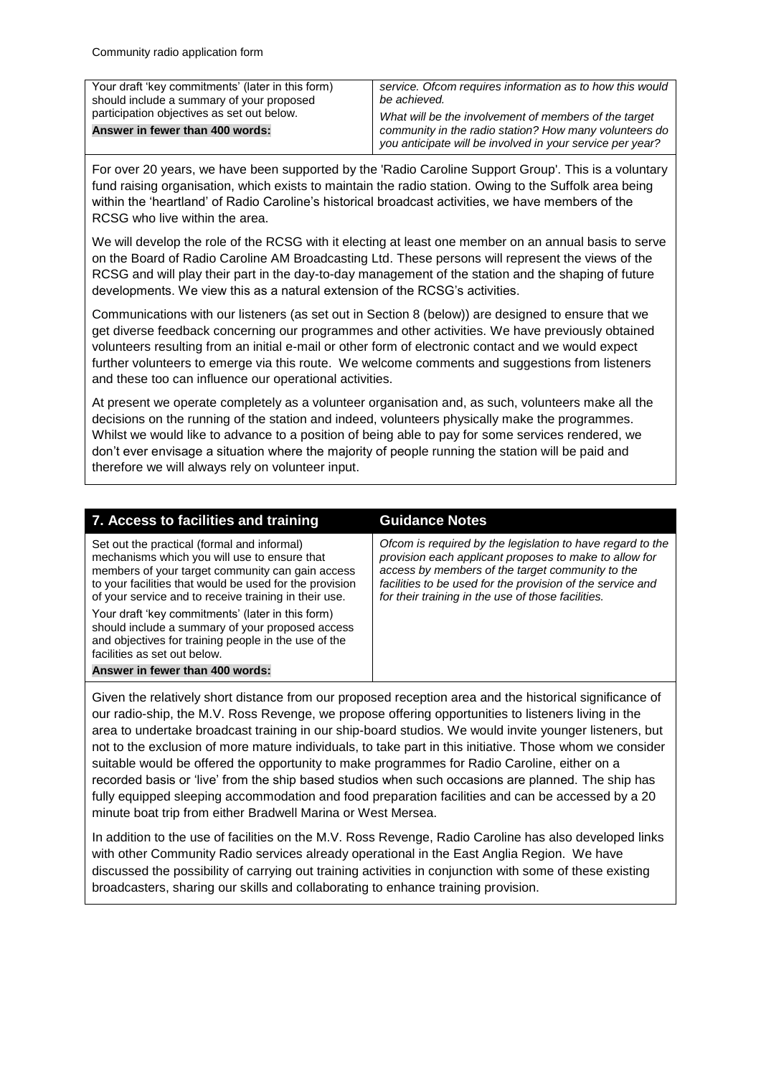| Your draft 'key commitments' (later in this form)<br>should include a summary of your proposed | service. Ofcom requires information as to how this would<br>be achieved. |
|------------------------------------------------------------------------------------------------|--------------------------------------------------------------------------|
| participation objectives as set out below.                                                     | What will be the involvement of members of the target                    |
| Answer in fewer than 400 words:                                                                | community in the radio station? How many volunteers do                   |
|                                                                                                | you anticipate will be involved in your service per year?                |

For over 20 years, we have been supported by the 'Radio Caroline Support Group'. This is a voluntary fund raising organisation, which exists to maintain the radio station. Owing to the Suffolk area being within the 'heartland' of Radio Caroline's historical broadcast activities, we have members of the RCSG who live within the area.

We will develop the role of the RCSG with it electing at least one member on an annual basis to serve on the Board of Radio Caroline AM Broadcasting Ltd. These persons will represent the views of the RCSG and will play their part in the day-to-day management of the station and the shaping of future developments. We view this as a natural extension of the RCSG's activities.

Communications with our listeners (as set out in Section 8 (below)) are designed to ensure that we get diverse feedback concerning our programmes and other activities. We have previously obtained volunteers resulting from an initial e-mail or other form of electronic contact and we would expect further volunteers to emerge via this route. We welcome comments and suggestions from listeners and these too can influence our operational activities.

At present we operate completely as a volunteer organisation and, as such, volunteers make all the decisions on the running of the station and indeed, volunteers physically make the programmes. Whilst we would like to advance to a position of being able to pay for some services rendered, we don't ever envisage a situation where the majority of people running the station will be paid and therefore we will always rely on volunteer input.

| 7. Access to facilities and training                                                                                                                                                                                                                                | <b>Guidance Notes</b>                                                                                                                                                                                                                                                                        |
|---------------------------------------------------------------------------------------------------------------------------------------------------------------------------------------------------------------------------------------------------------------------|----------------------------------------------------------------------------------------------------------------------------------------------------------------------------------------------------------------------------------------------------------------------------------------------|
| Set out the practical (formal and informal)<br>mechanisms which you will use to ensure that<br>members of your target community can gain access<br>to your facilities that would be used for the provision<br>of your service and to receive training in their use. | Ofcom is required by the legislation to have regard to the<br>provision each applicant proposes to make to allow for<br>access by members of the target community to the<br>facilities to be used for the provision of the service and<br>for their training in the use of those facilities. |
| Your draft 'key commitments' (later in this form)<br>should include a summary of your proposed access<br>and objectives for training people in the use of the<br>facilities as set out below.                                                                       |                                                                                                                                                                                                                                                                                              |
| Answer in fewer than 400 words:                                                                                                                                                                                                                                     |                                                                                                                                                                                                                                                                                              |

Given the relatively short distance from our proposed reception area and the historical significance of our radio-ship, the M.V. Ross Revenge, we propose offering opportunities to listeners living in the area to undertake broadcast training in our ship-board studios. We would invite younger listeners, but not to the exclusion of more mature individuals, to take part in this initiative. Those whom we consider suitable would be offered the opportunity to make programmes for Radio Caroline, either on a recorded basis or 'live' from the ship based studios when such occasions are planned. The ship has fully equipped sleeping accommodation and food preparation facilities and can be accessed by a 20 minute boat trip from either Bradwell Marina or West Mersea.

In addition to the use of facilities on the M.V. Ross Revenge, Radio Caroline has also developed links with other Community Radio services already operational in the East Anglia Region. We have discussed the possibility of carrying out training activities in conjunction with some of these existing broadcasters, sharing our skills and collaborating to enhance training provision.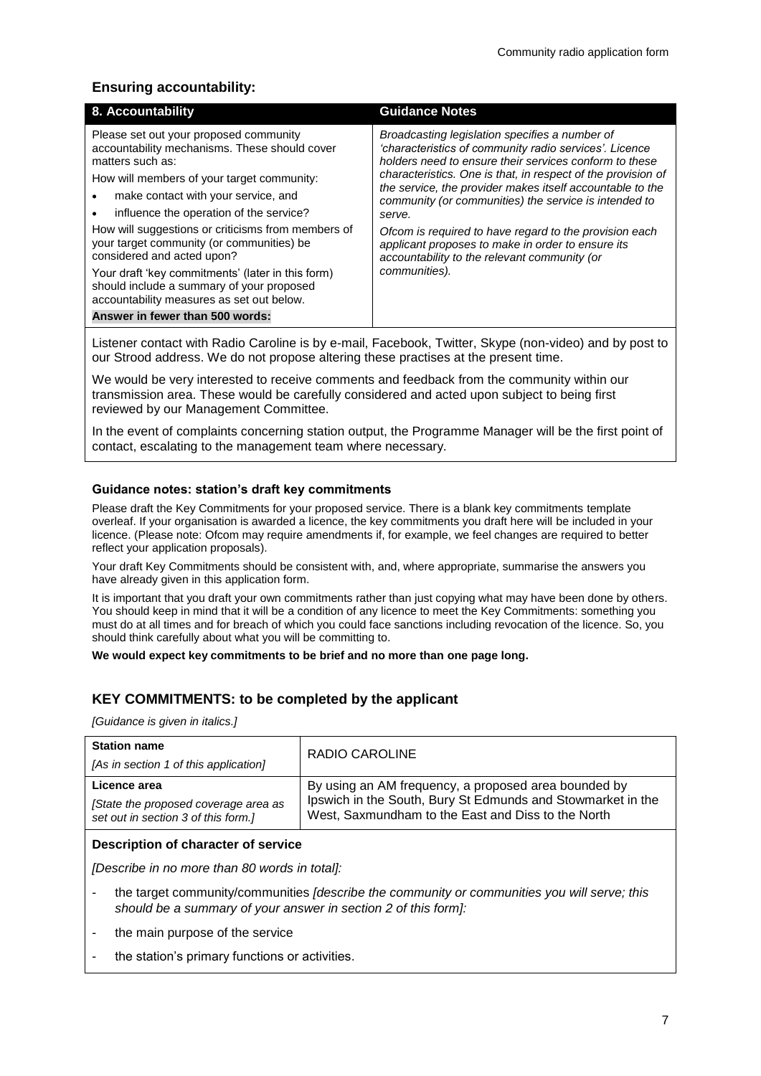## **Ensuring accountability:**

| 8. Accountability                                                                                                                                                                                                                                                                                                                                                                                                                                                                                                           | <b>Guidance Notes</b>                                                                                                                                                                                                                                                                                                                                                                                                                                                                                                                              |
|-----------------------------------------------------------------------------------------------------------------------------------------------------------------------------------------------------------------------------------------------------------------------------------------------------------------------------------------------------------------------------------------------------------------------------------------------------------------------------------------------------------------------------|----------------------------------------------------------------------------------------------------------------------------------------------------------------------------------------------------------------------------------------------------------------------------------------------------------------------------------------------------------------------------------------------------------------------------------------------------------------------------------------------------------------------------------------------------|
| Please set out your proposed community<br>accountability mechanisms. These should cover<br>matters such as:<br>How will members of your target community:<br>make contact with your service, and<br>influence the operation of the service?<br>How will suggestions or criticisms from members of<br>your target community (or communities) be<br>considered and acted upon?<br>Your draft 'key commitments' (later in this form)<br>should include a summary of your proposed<br>accountability measures as set out below. | Broadcasting legislation specifies a number of<br>'characteristics of community radio services'. Licence<br>holders need to ensure their services conform to these<br>characteristics. One is that, in respect of the provision of<br>the service, the provider makes itself accountable to the<br>community (or communities) the service is intended to<br>serve.<br>Ofcom is required to have regard to the provision each<br>applicant proposes to make in order to ensure its<br>accountability to the relevant community (or<br>communities). |
| Answer in fewer than 500 words:                                                                                                                                                                                                                                                                                                                                                                                                                                                                                             |                                                                                                                                                                                                                                                                                                                                                                                                                                                                                                                                                    |

Listener contact with Radio Caroline is by e-mail, Facebook, Twitter, Skype (non-video) and by post to our Strood address. We do not propose altering these practises at the present time.

We would be very interested to receive comments and feedback from the community within our transmission area. These would be carefully considered and acted upon subject to being first reviewed by our Management Committee.

In the event of complaints concerning station output, the Programme Manager will be the first point of contact, escalating to the management team where necessary.

#### **Guidance notes: station's draft key commitments**

Please draft the Key Commitments for your proposed service. There is a blank key commitments template overleaf. If your organisation is awarded a licence, the key commitments you draft here will be included in your licence. (Please note: Ofcom may require amendments if, for example, we feel changes are required to better reflect your application proposals).

Your draft Key Commitments should be consistent with, and, where appropriate, summarise the answers you have already given in this application form.

It is important that you draft your own commitments rather than just copying what may have been done by others. You should keep in mind that it will be a condition of any licence to meet the Key Commitments: something you must do at all times and for breach of which you could face sanctions including revocation of the licence. So, you should think carefully about what you will be committing to.

**We would expect key commitments to be brief and no more than one page long.**

#### **KEY COMMITMENTS: to be completed by the applicant**

*[Guidance is given in italics.]*

| <b>Station name</b><br>[As in section 1 of this application] | RADIO CAROLINE                                              |
|--------------------------------------------------------------|-------------------------------------------------------------|
| Licence area                                                 | By using an AM frequency, a proposed area bounded by        |
| [State the proposed coverage area as                         | Ipswich in the South, Bury St Edmunds and Stowmarket in the |
| set out in section 3 of this form.]                          | West, Saxmundham to the East and Diss to the North          |

#### **Description of character of service**

*[Describe in no more than 80 words in total]:* 

- the target community/communities *[describe the community or communities you will serve; this should be a summary of your answer in section 2 of this form]:*
- the main purpose of the service
- the station's primary functions or activities.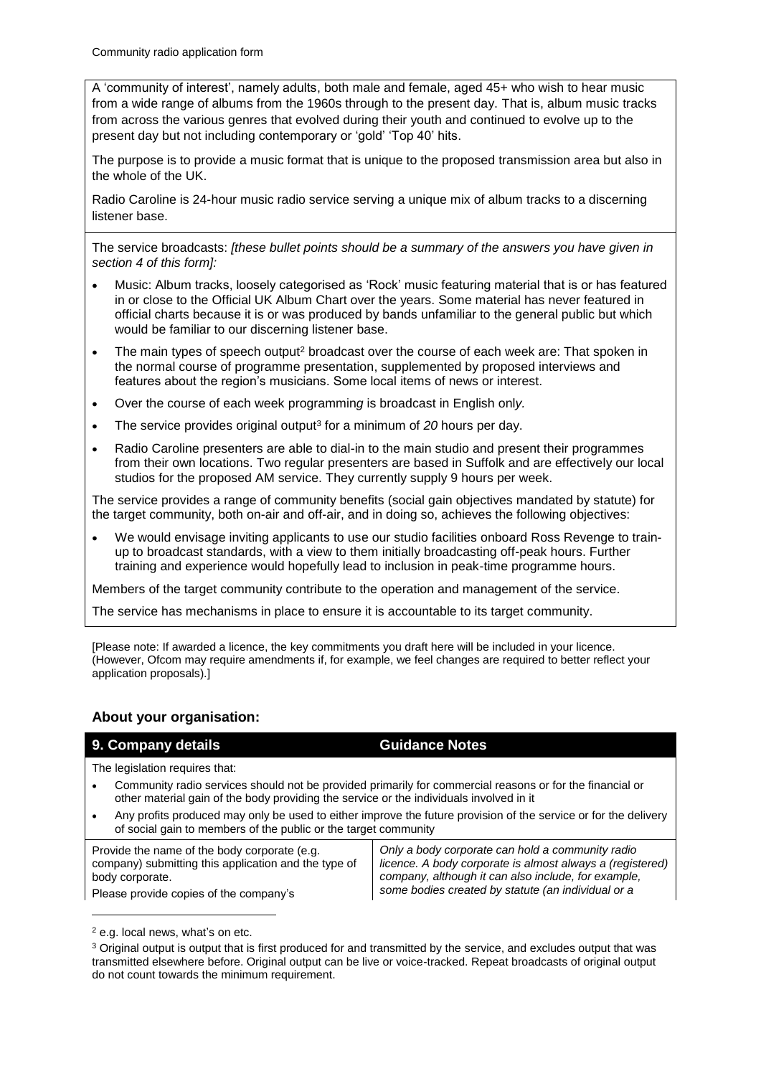A 'community of interest', namely adults, both male and female, aged 45+ who wish to hear music from a wide range of albums from the 1960s through to the present day. That is, album music tracks from across the various genres that evolved during their youth and continued to evolve up to the present day but not including contemporary or 'gold' 'Top 40' hits.

The purpose is to provide a music format that is unique to the proposed transmission area but also in the whole of the UK.

Radio Caroline is 24-hour music radio service serving a unique mix of album tracks to a discerning listener base.

The service broadcasts: *[these bullet points should be a summary of the answers you have given in section 4 of this form]:*

- Music: Album tracks, loosely categorised as 'Rock' music featuring material that is or has featured in or close to the Official UK Album Chart over the years. Some material has never featured in official charts because it is or was produced by bands unfamiliar to the general public but which would be familiar to our discerning listener base.
- The main types of speech output<sup>2</sup> broadcast over the course of each week are: That spoken in the normal course of programme presentation, supplemented by proposed interviews and features about the region's musicians. Some local items of news or interest.
- Over the course of each week programmin*g* is broadcast in English onl*y.*
- The service provides original output<sup>3</sup> for a minimum of *20* hours per day.
- Radio Caroline presenters are able to dial-in to the main studio and present their programmes from their own locations. Two regular presenters are based in Suffolk and are effectively our local studios for the proposed AM service. They currently supply 9 hours per week.

The service provides a range of community benefits (social gain objectives mandated by statute) for the target community, both on-air and off-air, and in doing so, achieves the following objectives:

 We would envisage inviting applicants to use our studio facilities onboard Ross Revenge to trainup to broadcast standards, with a view to them initially broadcasting off-peak hours. Further training and experience would hopefully lead to inclusion in peak-time programme hours.

Members of the target community contribute to the operation and management of the service.

The service has mechanisms in place to ensure it is accountable to its target community.

[Please note: If awarded a licence, the key commitments you draft here will be included in your licence. (However, Ofcom may require amendments if, for example, we feel changes are required to better reflect your application proposals).]

## **About your organisation:**

#### **9. Company details <b>Guidance Notes Guidance Notes**

The legislation requires that:

- Community radio services should not be provided primarily for commercial reasons or for the financial or other material gain of the body providing the service or the individuals involved in it
- Any profits produced may only be used to either improve the future provision of the service or for the delivery of social gain to members of the public or the target community

Provide the name of the body corporate (e.g. company) submitting this application and the type of body corporate.

Please provide copies of the company's

*Only a body corporate can hold a community radio licence. A body corporate is almost always a (registered) company, although it can also include, for example, some bodies created by statute (an individual or a* 

-

<sup>2</sup> e.g. local news, what's on etc.

<sup>&</sup>lt;sup>3</sup> Original output is output that is first produced for and transmitted by the service, and excludes output that was transmitted elsewhere before. Original output can be live or voice-tracked. Repeat broadcasts of original output do not count towards the minimum requirement.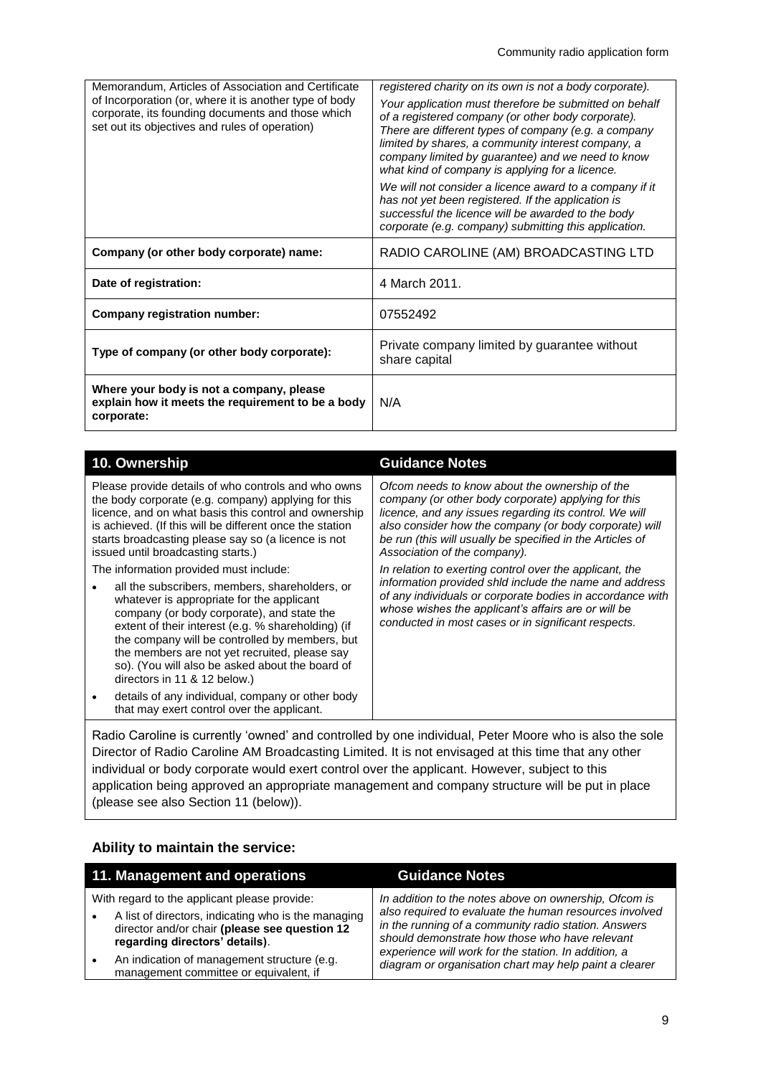| Memorandum, Articles of Association and Certificate                                                                                                           | registered charity on its own is not a body corporate).                                                                                                                                                                                                                                                                            |
|---------------------------------------------------------------------------------------------------------------------------------------------------------------|------------------------------------------------------------------------------------------------------------------------------------------------------------------------------------------------------------------------------------------------------------------------------------------------------------------------------------|
| of Incorporation (or, where it is another type of body<br>corporate, its founding documents and those which<br>set out its objectives and rules of operation) | Your application must therefore be submitted on behalf<br>of a registered company (or other body corporate).<br>There are different types of company (e.g. a company<br>limited by shares, a community interest company, a<br>company limited by guarantee) and we need to know<br>what kind of company is applying for a licence. |
|                                                                                                                                                               | We will not consider a licence award to a company if it<br>has not yet been registered. If the application is<br>successful the licence will be awarded to the body<br>corporate (e.g. company) submitting this application.                                                                                                       |
| Company (or other body corporate) name:                                                                                                                       | RADIO CAROLINE (AM) BROADCASTING LTD                                                                                                                                                                                                                                                                                               |
| Date of registration:                                                                                                                                         | 4 March 2011.                                                                                                                                                                                                                                                                                                                      |
| Company registration number:                                                                                                                                  | 07552492                                                                                                                                                                                                                                                                                                                           |
| Type of company (or other body corporate):                                                                                                                    | Private company limited by guarantee without<br>share capital                                                                                                                                                                                                                                                                      |
| Where your body is not a company, please<br>explain how it meets the requirement to be a body<br>corporate:                                                   | N/A                                                                                                                                                                                                                                                                                                                                |

| 10. Ownership                                                                                                                                                                                                                                                                                                                                                                         | <b>Guidance Notes</b>                                                                                                                                                                                                                                                                                                  |  |  |
|---------------------------------------------------------------------------------------------------------------------------------------------------------------------------------------------------------------------------------------------------------------------------------------------------------------------------------------------------------------------------------------|------------------------------------------------------------------------------------------------------------------------------------------------------------------------------------------------------------------------------------------------------------------------------------------------------------------------|--|--|
| Please provide details of who controls and who owns<br>the body corporate (e.g. company) applying for this<br>licence, and on what basis this control and ownership<br>is achieved. (If this will be different once the station<br>starts broadcasting please say so (a licence is not<br>issued until broadcasting starts.)                                                          | Ofcom needs to know about the ownership of the<br>company (or other body corporate) applying for this<br>licence, and any issues regarding its control. We will<br>also consider how the company (or body corporate) will<br>be run (this will usually be specified in the Articles of<br>Association of the company). |  |  |
| The information provided must include:                                                                                                                                                                                                                                                                                                                                                | In relation to exerting control over the applicant, the<br>information provided shid include the name and address<br>of any individuals or corporate bodies in accordance with<br>whose wishes the applicant's affairs are or will be<br>conducted in most cases or in significant respects.                           |  |  |
| all the subscribers, members, shareholders, or<br>whatever is appropriate for the applicant<br>company (or body corporate), and state the<br>extent of their interest (e.g. % shareholding) (if<br>the company will be controlled by members, but<br>the members are not yet recruited, please say<br>so). (You will also be asked about the board of<br>directors in 11 & 12 below.) |                                                                                                                                                                                                                                                                                                                        |  |  |
| details of any individual, company or other body<br>that may exert control over the applicant.                                                                                                                                                                                                                                                                                        |                                                                                                                                                                                                                                                                                                                        |  |  |
| Radio Caroline is currently 'owned' and controlled by one individual, Peter Moore who is also the sole<br>Director of Radio Caroline AM Broadcasting Limited. It is not envisaged at this time that any other                                                                                                                                                                         |                                                                                                                                                                                                                                                                                                                        |  |  |

Director of Radio Caroline AM Broadcasting Limited. It is not envisaged at this time that any other individual or body corporate would exert control over the applicant. However, subject to this application being approved an appropriate management and company structure will be put in place (please see also Section 11 (below)).

## **Ability to maintain the service:**

| 11. Management and operations                                                                                                                                                          |                                                                                       | <b>Guidance Notes</b>                                                                                                                                                                                                     |  |
|----------------------------------------------------------------------------------------------------------------------------------------------------------------------------------------|---------------------------------------------------------------------------------------|---------------------------------------------------------------------------------------------------------------------------------------------------------------------------------------------------------------------------|--|
| With regard to the applicant please provide:<br>A list of directors, indicating who is the managing<br>director and/or chair (please see question 12<br>regarding directors' details). |                                                                                       | In addition to the notes above on ownership, Ofcom is<br>also required to evaluate the human resources involved<br>in the running of a community radio station. Answers<br>should demonstrate how those who have relevant |  |
|                                                                                                                                                                                        | An indication of management structure (e.g.<br>management committee or equivalent, if | experience will work for the station. In addition, a<br>diagram or organisation chart may help paint a clearer                                                                                                            |  |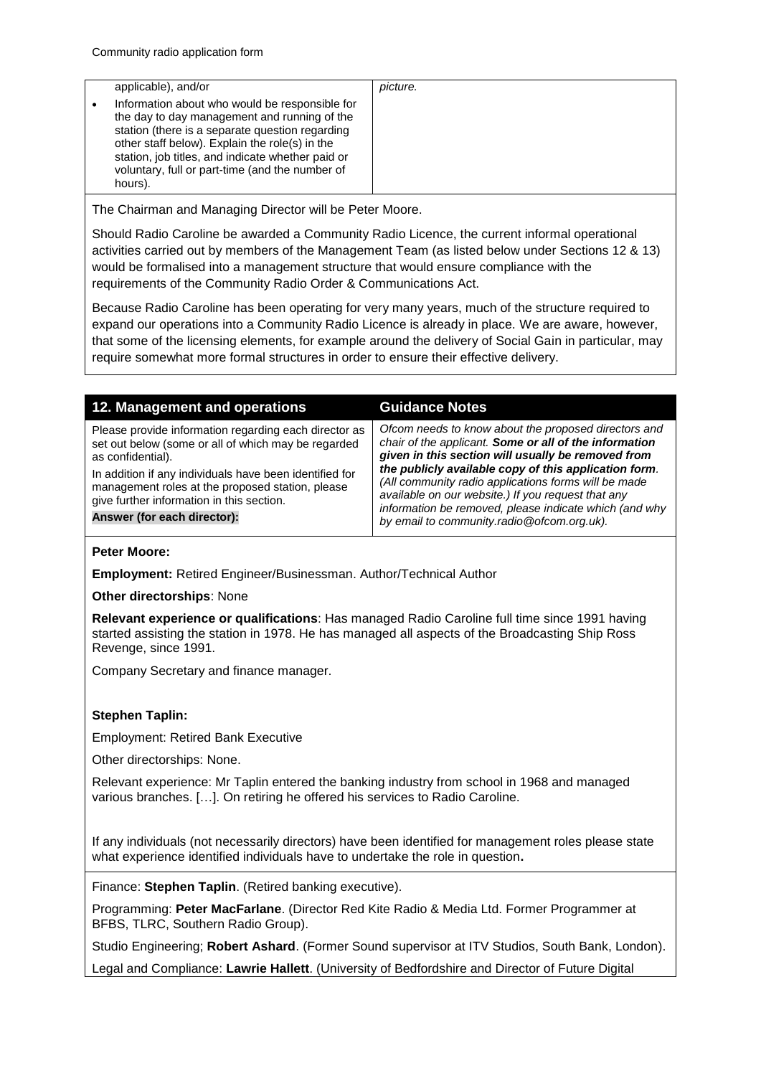| applicable), and/or                                                                                                                                                                                                                                                                                                    | picture. |
|------------------------------------------------------------------------------------------------------------------------------------------------------------------------------------------------------------------------------------------------------------------------------------------------------------------------|----------|
| Information about who would be responsible for<br>the day to day management and running of the<br>station (there is a separate question regarding<br>other staff below). Explain the role(s) in the<br>station, job titles, and indicate whether paid or<br>voluntary, full or part-time (and the number of<br>hours). |          |

The Chairman and Managing Director will be Peter Moore.

Should Radio Caroline be awarded a Community Radio Licence, the current informal operational activities carried out by members of the Management Team (as listed below under Sections 12 & 13) would be formalised into a management structure that would ensure compliance with the requirements of the Community Radio Order & Communications Act.

Because Radio Caroline has been operating for very many years, much of the structure required to expand our operations into a Community Radio Licence is already in place. We are aware, however, that some of the licensing elements, for example around the delivery of Social Gain in particular, may require somewhat more formal structures in order to ensure their effective delivery.

| 12. Management and operations                                                                                                                                                                                                                                                                                                | <b>Guidance Notes</b>                                                                                                                                                                                                                                                                                                                                                                                                                               |
|------------------------------------------------------------------------------------------------------------------------------------------------------------------------------------------------------------------------------------------------------------------------------------------------------------------------------|-----------------------------------------------------------------------------------------------------------------------------------------------------------------------------------------------------------------------------------------------------------------------------------------------------------------------------------------------------------------------------------------------------------------------------------------------------|
| Please provide information regarding each director as<br>set out below (some or all of which may be regarded<br>as confidential).<br>In addition if any individuals have been identified for<br>management roles at the proposed station, please<br>give further information in this section.<br>Answer (for each director): | Ofcom needs to know about the proposed directors and<br>chair of the applicant. Some or all of the information<br>given in this section will usually be removed from<br>the publicly available copy of this application form.<br>(All community radio applications forms will be made<br>available on our website.) If you request that any<br>information be removed, please indicate which (and why<br>by email to community.radio@ofcom.org.uk). |

#### **Peter Moore:**

**Employment:** Retired Engineer/Businessman. Author/Technical Author

**Other directorships**: None

**Relevant experience or qualifications**: Has managed Radio Caroline full time since 1991 having started assisting the station in 1978. He has managed all aspects of the Broadcasting Ship Ross Revenge, since 1991.

Company Secretary and finance manager.

#### **Stephen Taplin:**

Employment: Retired Bank Executive

Other directorships: None.

Relevant experience: Mr Taplin entered the banking industry from school in 1968 and managed various branches. […]. On retiring he offered his services to Radio Caroline.

If any individuals (not necessarily directors) have been identified for management roles please state what experience identified individuals have to undertake the role in question**.**

Finance: **Stephen Taplin**. (Retired banking executive).

Programming: **Peter MacFarlane**. (Director Red Kite Radio & Media Ltd. Former Programmer at BFBS, TLRC, Southern Radio Group).

Studio Engineering; **Robert Ashard**. (Former Sound supervisor at ITV Studios, South Bank, London).

Legal and Compliance: **Lawrie Hallett**. (University of Bedfordshire and Director of Future Digital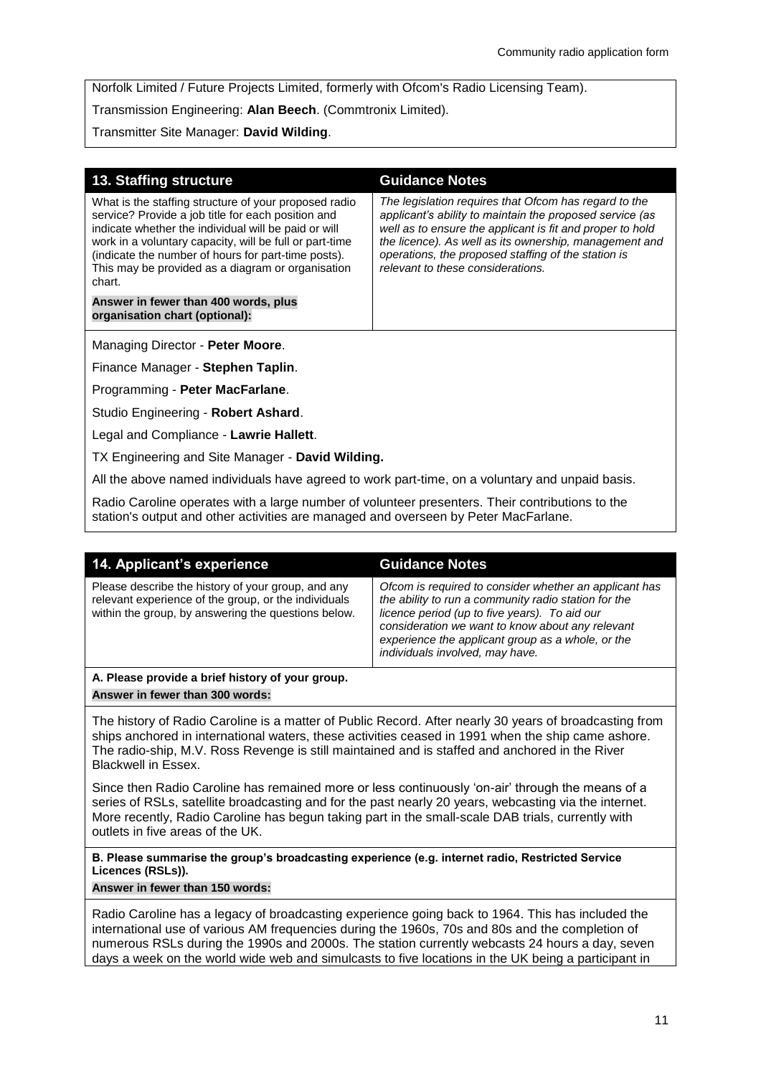Norfolk Limited / Future Projects Limited, formerly with Ofcom's Radio Licensing Team).

Transmission Engineering: **Alan Beech**. (Commtronix Limited).

Transmitter Site Manager: **David Wilding**.

| <b>13. Staffing structure</b>                                                                                                                                                                                                                                                                                                                        | <b>Guidance Notes</b>                                                                                                                                                                                                                                                                                                                |
|------------------------------------------------------------------------------------------------------------------------------------------------------------------------------------------------------------------------------------------------------------------------------------------------------------------------------------------------------|--------------------------------------------------------------------------------------------------------------------------------------------------------------------------------------------------------------------------------------------------------------------------------------------------------------------------------------|
| What is the staffing structure of your proposed radio<br>service? Provide a job title for each position and<br>indicate whether the individual will be paid or will<br>work in a voluntary capacity, will be full or part-time<br>(indicate the number of hours for part-time posts).<br>This may be provided as a diagram or organisation<br>chart. | The legislation reguires that Ofcom has regard to the<br>applicant's ability to maintain the proposed service (as<br>well as to ensure the applicant is fit and proper to hold<br>the licence). As well as its ownership, management and<br>operations, the proposed staffing of the station is<br>relevant to these considerations. |
| Answer in fewer than 400 words, plus<br>organisation chart (optional):                                                                                                                                                                                                                                                                               |                                                                                                                                                                                                                                                                                                                                      |
| Managing Director - Peter Moore.                                                                                                                                                                                                                                                                                                                     |                                                                                                                                                                                                                                                                                                                                      |
| Finance Manager - Stephen Taplin.                                                                                                                                                                                                                                                                                                                    |                                                                                                                                                                                                                                                                                                                                      |

Programming - **Peter MacFarlane**.

Studio Engineering - **Robert Ashard**.

Legal and Compliance - **Lawrie Hallett**.

TX Engineering and Site Manager - **David Wilding.**

All the above named individuals have agreed to work part-time, on a voluntary and unpaid basis.

Radio Caroline operates with a large number of volunteer presenters. Their contributions to the station's output and other activities are managed and overseen by Peter MacFarlane.

| 14. Applicant's experience                                                                                                                                                                                                                                                                                     | <b>Guidance Notes</b>                                                                                                                                                                                                                                                                                       |  |
|----------------------------------------------------------------------------------------------------------------------------------------------------------------------------------------------------------------------------------------------------------------------------------------------------------------|-------------------------------------------------------------------------------------------------------------------------------------------------------------------------------------------------------------------------------------------------------------------------------------------------------------|--|
| Please describe the history of your group, and any<br>relevant experience of the group, or the individuals<br>within the group, by answering the questions below.                                                                                                                                              | Ofcom is required to consider whether an applicant has<br>the ability to run a community radio station for the<br>licence period (up to five years). To aid our<br>consideration we want to know about any relevant<br>experience the applicant group as a whole, or the<br>individuals involved, may have. |  |
| A. Please provide a brief history of your group.                                                                                                                                                                                                                                                               |                                                                                                                                                                                                                                                                                                             |  |
| Answer in fewer than 300 words:                                                                                                                                                                                                                                                                                |                                                                                                                                                                                                                                                                                                             |  |
| The history of Radio Caroline is a matter of Public Record. After nearly 30 years of broadcasting from<br>ships anchored in international waters, these activities ceased in 1991 when the ship came ashore.<br>The radio chip, M.V. Pess Povenge is still maintained and is staffed and anchored in the Piver |                                                                                                                                                                                                                                                                                                             |  |

I he radio-ship, M.V. Ross Revenge is still maintained and is staffed and anchored in the River Blackwell in Essex.

Since then Radio Caroline has remained more or less continuously 'on-air' through the means of a series of RSLs, satellite broadcasting and for the past nearly 20 years, webcasting via the internet. More recently, Radio Caroline has begun taking part in the small-scale DAB trials, currently with outlets in five areas of the UK.

**B. Please summarise the group's broadcasting experience (e.g. internet radio, Restricted Service Licences (RSLs)).** 

## **Answer in fewer than 150 words:**

Radio Caroline has a legacy of broadcasting experience going back to 1964. This has included the international use of various AM frequencies during the 1960s, 70s and 80s and the completion of numerous RSLs during the 1990s and 2000s. The station currently webcasts 24 hours a day, seven days a week on the world wide web and simulcasts to five locations in the UK being a participant in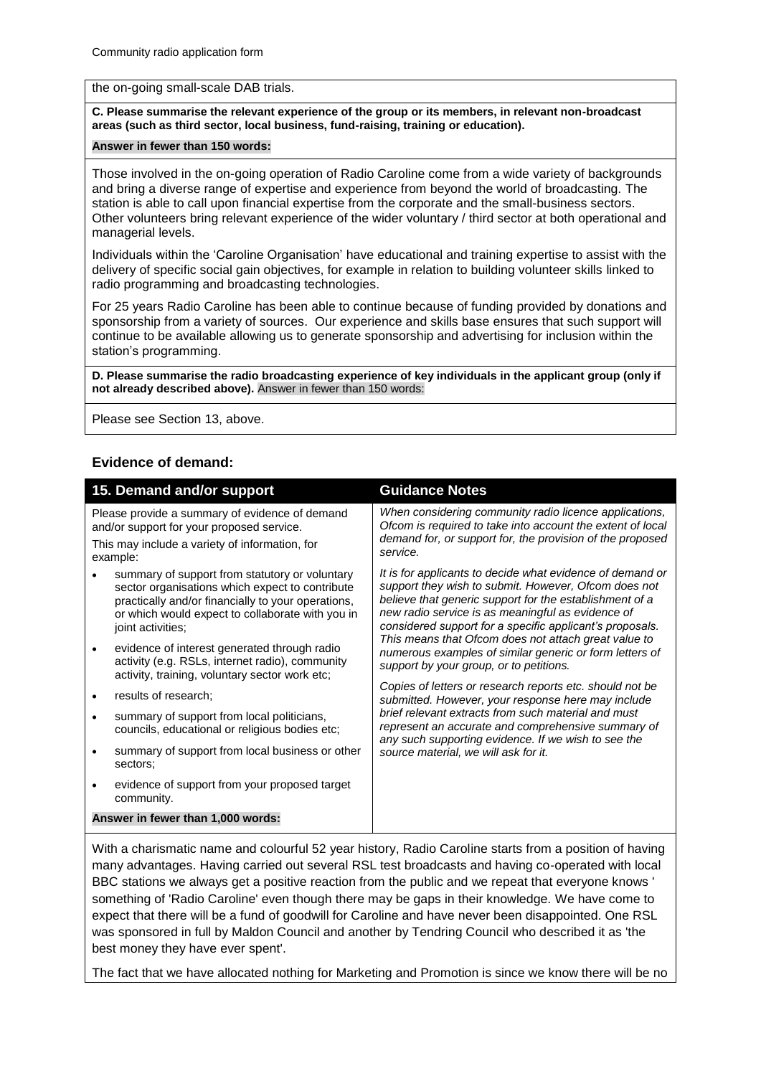#### the on-going small-scale DAB trials.

#### **C. Please summarise the relevant experience of the group or its members, in relevant non-broadcast areas (such as third sector, local business, fund-raising, training or education).**

#### **Answer in fewer than 150 words:**

Those involved in the on-going operation of Radio Caroline come from a wide variety of backgrounds and bring a diverse range of expertise and experience from beyond the world of broadcasting. The station is able to call upon financial expertise from the corporate and the small-business sectors. Other volunteers bring relevant experience of the wider voluntary / third sector at both operational and managerial levels.

Individuals within the 'Caroline Organisation' have educational and training expertise to assist with the delivery of specific social gain objectives, for example in relation to building volunteer skills linked to radio programming and broadcasting technologies.

For 25 years Radio Caroline has been able to continue because of funding provided by donations and sponsorship from a variety of sources. Our experience and skills base ensures that such support will continue to be available allowing us to generate sponsorship and advertising for inclusion within the station's programming.

**D. Please summarise the radio broadcasting experience of key individuals in the applicant group (only if not already described above).** Answer in fewer than 150 words:

Please see Section 13, above.

#### **Evidence of demand:**

| 15. Demand and/or support                                                                                                                                                                                                        |  | <b>Guidance Notes</b>                                                                                                                                                                                                                                                                         |  |
|----------------------------------------------------------------------------------------------------------------------------------------------------------------------------------------------------------------------------------|--|-----------------------------------------------------------------------------------------------------------------------------------------------------------------------------------------------------------------------------------------------------------------------------------------------|--|
| Please provide a summary of evidence of demand<br>and/or support for your proposed service.<br>This may include a variety of information, for<br>example:                                                                        |  | When considering community radio licence applications,<br>Ofcom is required to take into account the extent of local<br>demand for, or support for, the provision of the proposed<br>service.                                                                                                 |  |
| summary of support from statutory or voluntary<br>sector organisations which expect to contribute<br>practically and/or financially to your operations,<br>or which would expect to collaborate with you in<br>joint activities; |  | It is for applicants to decide what evidence of demand or<br>support they wish to submit. However, Ofcom does not<br>believe that generic support for the establishment of a<br>new radio service is as meaningful as evidence of<br>considered support for a specific applicant's proposals. |  |
| evidence of interest generated through radio<br>$\bullet$<br>activity (e.g. RSLs, internet radio), community<br>activity, training, voluntary sector work etc;                                                                   |  | This means that Ofcom does not attach great value to<br>numerous examples of similar generic or form letters of<br>support by your group, or to petitions.                                                                                                                                    |  |
| results of research;                                                                                                                                                                                                             |  | Copies of letters or research reports etc. should not be<br>submitted. However, your response here may include                                                                                                                                                                                |  |
| summary of support from local politicians,<br>councils, educational or religious bodies etc;                                                                                                                                     |  | brief relevant extracts from such material and must<br>represent an accurate and comprehensive summary of<br>any such supporting evidence. If we wish to see the                                                                                                                              |  |
| summary of support from local business or other<br>sectors;                                                                                                                                                                      |  | source material, we will ask for it.                                                                                                                                                                                                                                                          |  |
| evidence of support from your proposed target<br>community.                                                                                                                                                                      |  |                                                                                                                                                                                                                                                                                               |  |
| Answer in fewer than 1,000 words:                                                                                                                                                                                                |  |                                                                                                                                                                                                                                                                                               |  |
|                                                                                                                                                                                                                                  |  |                                                                                                                                                                                                                                                                                               |  |

With a charismatic name and colourful 52 year history, Radio Caroline starts from a position of having many advantages. Having carried out several RSL test broadcasts and having co-operated with local BBC stations we always get a positive reaction from the public and we repeat that everyone knows ' something of 'Radio Caroline' even though there may be gaps in their knowledge. We have come to expect that there will be a fund of goodwill for Caroline and have never been disappointed. One RSL was sponsored in full by Maldon Council and another by Tendring Council who described it as 'the best money they have ever spent'.

The fact that we have allocated nothing for Marketing and Promotion is since we know there will be no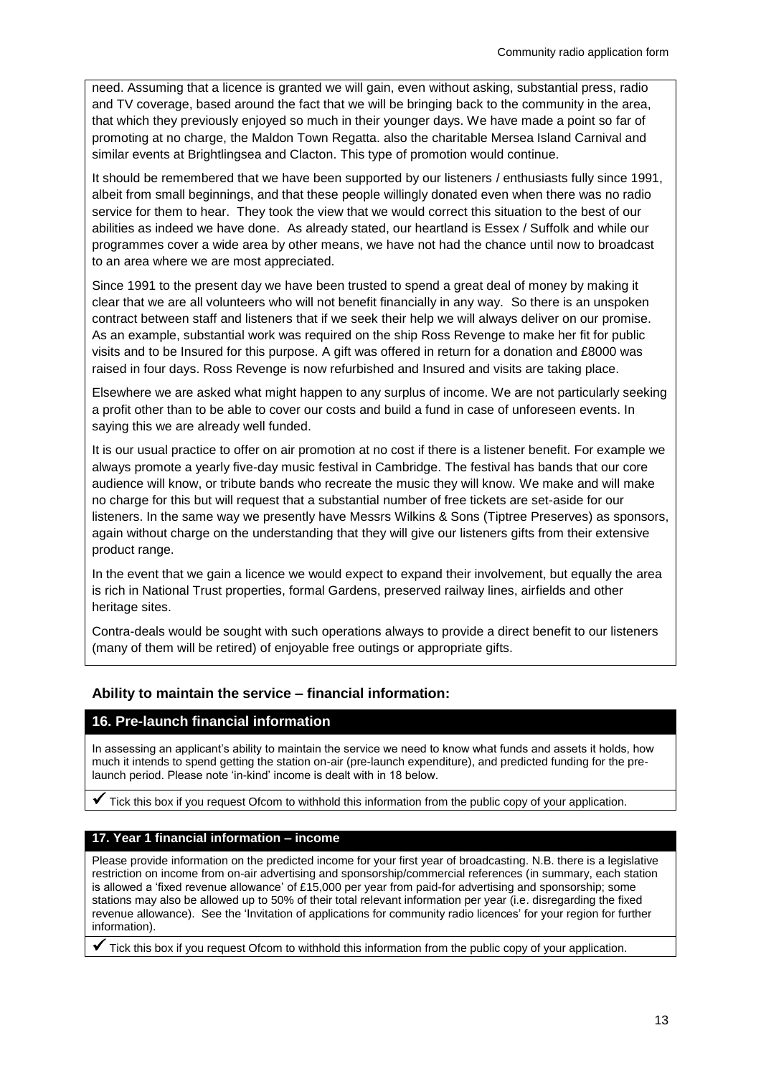need. Assuming that a licence is granted we will gain, even without asking, substantial press, radio and TV coverage, based around the fact that we will be bringing back to the community in the area, that which they previously enjoyed so much in their younger days. We have made a point so far of promoting at no charge, the Maldon Town Regatta. also the charitable Mersea Island Carnival and similar events at Brightlingsea and Clacton. This type of promotion would continue.

It should be remembered that we have been supported by our listeners / enthusiasts fully since 1991, albeit from small beginnings, and that these people willingly donated even when there was no radio service for them to hear. They took the view that we would correct this situation to the best of our abilities as indeed we have done. As already stated, our heartland is Essex / Suffolk and while our programmes cover a wide area by other means, we have not had the chance until now to broadcast to an area where we are most appreciated.

Since 1991 to the present day we have been trusted to spend a great deal of money by making it clear that we are all volunteers who will not benefit financially in any way. So there is an unspoken contract between staff and listeners that if we seek their help we will always deliver on our promise. As an example, substantial work was required on the ship Ross Revenge to make her fit for public visits and to be Insured for this purpose. A gift was offered in return for a donation and £8000 was raised in four days. Ross Revenge is now refurbished and Insured and visits are taking place.

Elsewhere we are asked what might happen to any surplus of income. We are not particularly seeking a profit other than to be able to cover our costs and build a fund in case of unforeseen events. In saying this we are already well funded.

It is our usual practice to offer on air promotion at no cost if there is a listener benefit. For example we always promote a yearly five-day music festival in Cambridge. The festival has bands that our core audience will know, or tribute bands who recreate the music they will know. We make and will make no charge for this but will request that a substantial number of free tickets are set-aside for our listeners. In the same way we presently have Messrs Wilkins & Sons (Tiptree Preserves) as sponsors, again without charge on the understanding that they will give our listeners gifts from their extensive product range.

In the event that we gain a licence we would expect to expand their involvement, but equally the area is rich in National Trust properties, formal Gardens, preserved railway lines, airfields and other heritage sites.

Contra-deals would be sought with such operations always to provide a direct benefit to our listeners (many of them will be retired) of enjoyable free outings or appropriate gifts.

## **Ability to maintain the service – financial information:**

## **16. Pre-launch financial information**

In assessing an applicant's ability to maintain the service we need to know what funds and assets it holds, how much it intends to spend getting the station on-air (pre-launch expenditure), and predicted funding for the prelaunch period. Please note 'in-kind' income is dealt with in 18 below.

Tick this box if you request Ofcom to withhold this information from the public copy of your application.

#### **17. Year 1 financial information – income**

Please provide information on the predicted income for your first year of broadcasting. N.B. there is a legislative restriction on income from on-air advertising and sponsorship/commercial references (in summary, each station is allowed a 'fixed revenue allowance' of £15,000 per year from paid-for advertising and sponsorship; some stations may also be allowed up to 50% of their total relevant information per year (i.e. disregarding the fixed revenue allowance). See the 'Invitation of applications for community radio licences' for your region for further information).

Tick this box if you request Ofcom to withhold this information from the public copy of your application.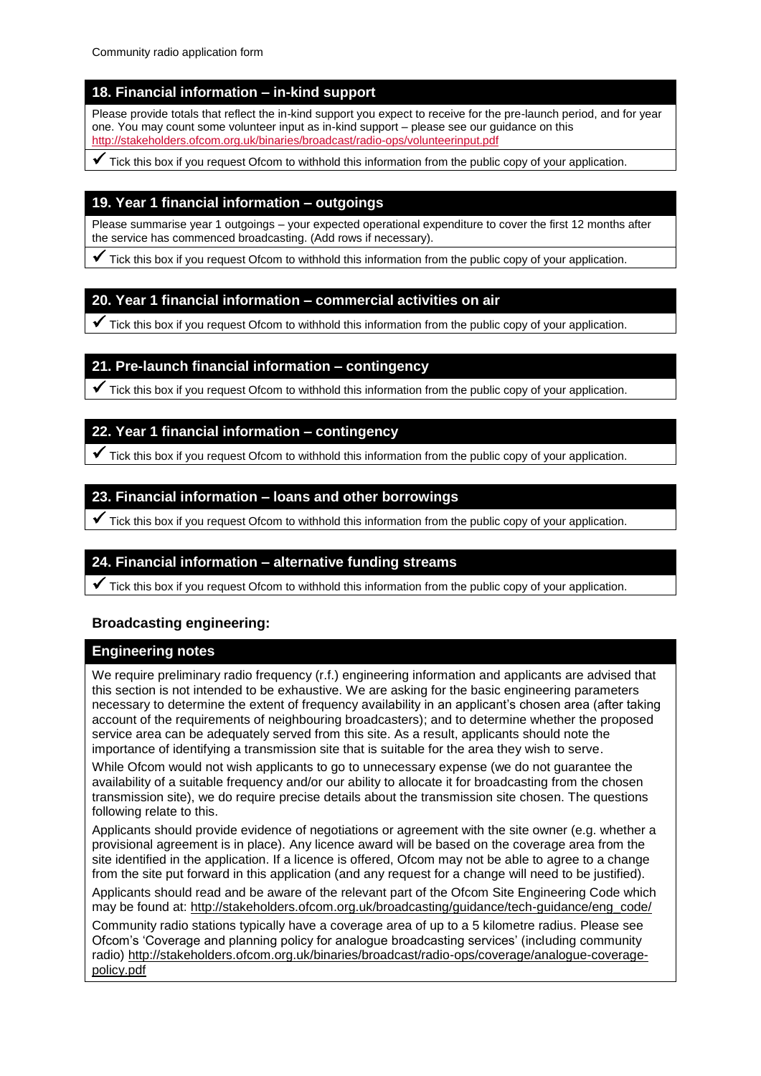## **18. Financial information – in-kind support**

Please provide totals that reflect the in-kind support you expect to receive for the pre-launch period, and for year one. You may count some volunteer input as in-kind support – please see our guidance on this <http://stakeholders.ofcom.org.uk/binaries/broadcast/radio-ops/volunteerinput.pdf>

 $\checkmark$  Tick this box if you request Ofcom to withhold this information from the public copy of your application.

## **19. Year 1 financial information – outgoings**

Please summarise year 1 outgoings – your expected operational expenditure to cover the first 12 months after the service has commenced broadcasting. (Add rows if necessary).

 $\checkmark$  Tick this box if you request Ofcom to withhold this information from the public copy of your application.

#### **20. Year 1 financial information – commercial activities on air**

 $\checkmark$  Tick this box if you request Ofcom to withhold this information from the public copy of your application.

## **21. Pre-launch financial information – contingency**

 $\checkmark$  Tick this box if you request Ofcom to withhold this information from the public copy of your application.

## **22. Year 1 financial information – contingency**

 $\checkmark$  Tick this box if you request Ofcom to withhold this information from the public copy of your application.

## **23. Financial information – loans and other borrowings**

 $\checkmark$  Tick this box if you request Ofcom to withhold this information from the public copy of your application.

## **24. Financial information – alternative funding streams**

 $\checkmark$  Tick this box if you request Ofcom to withhold this information from the public copy of your application.

## **Broadcasting engineering:**

## **Engineering notes**

We require preliminary radio frequency (r.f.) engineering information and applicants are advised that this section is not intended to be exhaustive. We are asking for the basic engineering parameters necessary to determine the extent of frequency availability in an applicant's chosen area (after taking account of the requirements of neighbouring broadcasters); and to determine whether the proposed service area can be adequately served from this site. As a result, applicants should note the importance of identifying a transmission site that is suitable for the area they wish to serve.

While Ofcom would not wish applicants to go to unnecessary expense (we do not quarantee the availability of a suitable frequency and/or our ability to allocate it for broadcasting from the chosen transmission site), we do require precise details about the transmission site chosen. The questions following relate to this.

Applicants should provide evidence of negotiations or agreement with the site owner (e.g. whether a provisional agreement is in place). Any licence award will be based on the coverage area from the site identified in the application. If a licence is offered, Ofcom may not be able to agree to a change from the site put forward in this application (and any request for a change will need to be justified).

Applicants should read and be aware of the relevant part of the Ofcom Site Engineering Code which may be found at: [http://stakeholders.ofcom.org.uk/broadcasting/guidance/tech-guidance/eng\\_code/](http://stakeholders.ofcom.org.uk/broadcasting/guidance/tech-guidance/eng_code/)

Community radio stations typically have a coverage area of up to a 5 kilometre radius. Please see Ofcom's 'Coverage and planning policy for analogue broadcasting services' (including community radio) [http://stakeholders.ofcom.org.uk/binaries/broadcast/radio-ops/coverage/analogue-coverage](http://stakeholders.ofcom.org.uk/binaries/broadcast/radio-ops/coverage/analogue-coverage-policy.pdf)[policy.pdf](http://stakeholders.ofcom.org.uk/binaries/broadcast/radio-ops/coverage/analogue-coverage-policy.pdf)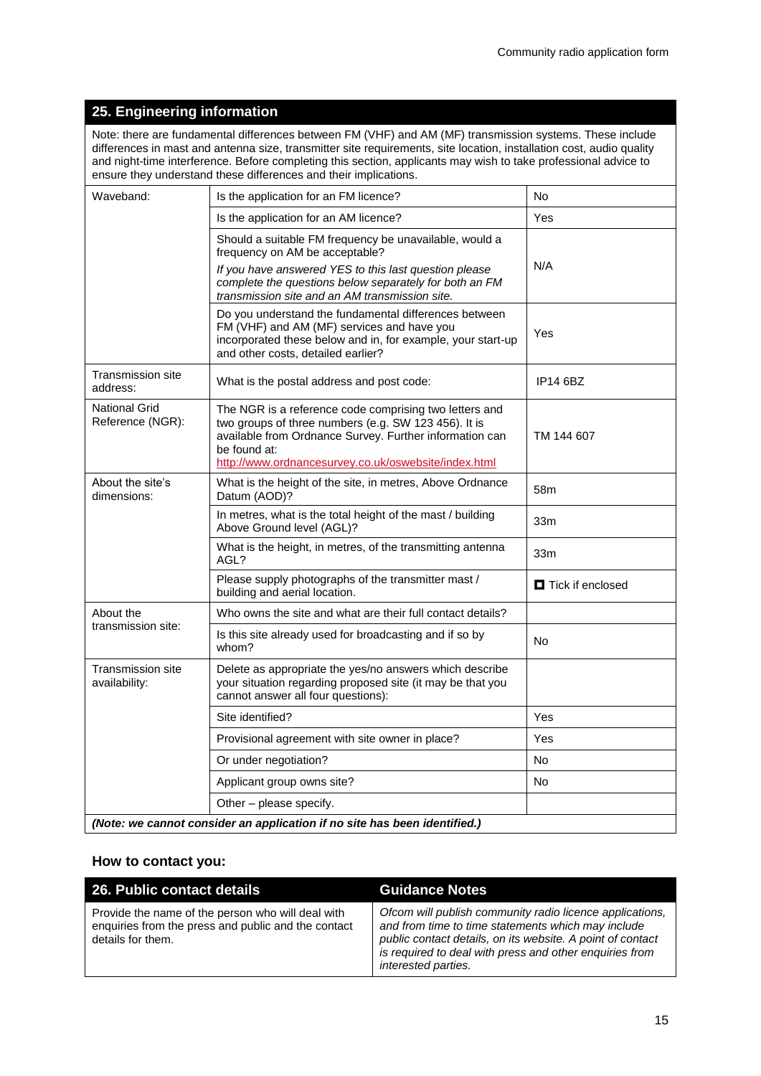## **25. Engineering information**

Note: there are fundamental differences between FM (VHF) and AM (MF) transmission systems. These include differences in mast and antenna size, transmitter site requirements, site location, installation cost, audio quality and night-time interference. Before completing this section, applicants may wish to take professional advice to ensure they understand these differences and their implications.

| Waveband:                          | Is the application for an FM licence?                                                                                                                                                                                                             | No.                       |
|------------------------------------|---------------------------------------------------------------------------------------------------------------------------------------------------------------------------------------------------------------------------------------------------|---------------------------|
|                                    | Is the application for an AM licence?                                                                                                                                                                                                             | Yes                       |
|                                    | Should a suitable FM frequency be unavailable, would a<br>frequency on AM be acceptable?                                                                                                                                                          |                           |
|                                    | If you have answered YES to this last question please<br>complete the questions below separately for both an FM<br>transmission site and an AM transmission site.                                                                                 | N/A                       |
|                                    | Do you understand the fundamental differences between<br>FM (VHF) and AM (MF) services and have you<br>incorporated these below and in, for example, your start-up<br>and other costs, detailed earlier?                                          | Yes                       |
| Transmission site<br>address:      | What is the postal address and post code:                                                                                                                                                                                                         | <b>IP14 6BZ</b>           |
| National Grid<br>Reference (NGR):  | The NGR is a reference code comprising two letters and<br>two groups of three numbers (e.g. SW 123 456). It is<br>available from Ordnance Survey. Further information can<br>be found at:<br>http://www.ordnancesurvey.co.uk/oswebsite/index.html | TM 144 607                |
| About the site's<br>dimensions:    | What is the height of the site, in metres, Above Ordnance<br>Datum (AOD)?                                                                                                                                                                         | 58m                       |
|                                    | In metres, what is the total height of the mast / building<br>Above Ground level (AGL)?                                                                                                                                                           | 33m                       |
|                                    | What is the height, in metres, of the transmitting antenna<br>AGL?                                                                                                                                                                                | 33m                       |
|                                    | Please supply photographs of the transmitter mast /<br>building and aerial location.                                                                                                                                                              | <b>O</b> Tick if enclosed |
| About the                          | Who owns the site and what are their full contact details?                                                                                                                                                                                        |                           |
| transmission site:                 | Is this site already used for broadcasting and if so by<br>whom?                                                                                                                                                                                  | No.                       |
| Transmission site<br>availability: | Delete as appropriate the yes/no answers which describe<br>your situation regarding proposed site (it may be that you<br>cannot answer all four questions):                                                                                       |                           |
|                                    | Site identified?                                                                                                                                                                                                                                  | Yes                       |
|                                    | Provisional agreement with site owner in place?                                                                                                                                                                                                   | Yes                       |
|                                    | Or under negotiation?                                                                                                                                                                                                                             | <b>No</b>                 |
|                                    | Applicant group owns site?                                                                                                                                                                                                                        | No                        |
|                                    | Other - please specify.                                                                                                                                                                                                                           |                           |
|                                    | (Note: we cannot consider an application if no site has been identified.)                                                                                                                                                                         |                           |

#### **How to contact you:**

| 26. Public contact details                                                                                                    | <b>Guidance Notes</b>                                                                                                                                                                                                                                          |
|-------------------------------------------------------------------------------------------------------------------------------|----------------------------------------------------------------------------------------------------------------------------------------------------------------------------------------------------------------------------------------------------------------|
| Provide the name of the person who will deal with<br>enquiries from the press and public and the contact<br>details for them. | Ofcom will publish community radio licence applications,<br>and from time to time statements which may include<br>public contact details, on its website. A point of contact<br>is required to deal with press and other enquiries from<br>interested parties. |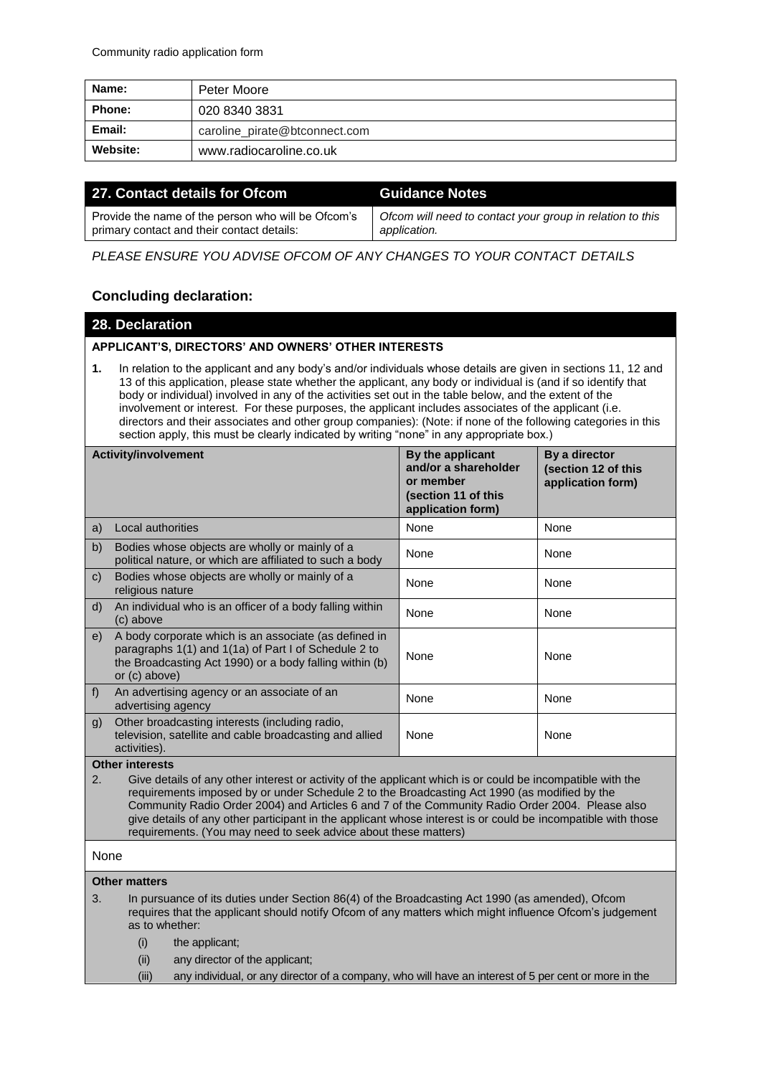| Name:         | Peter Moore                   |
|---------------|-------------------------------|
| <b>Phone:</b> | 020 8340 3831                 |
| Email:        | caroline_pirate@btconnect.com |
| Website:      | www.radiocaroline.co.uk       |

| 27. Contact details for Ofcom                      | <b>Guidance Notes</b>                                     |
|----------------------------------------------------|-----------------------------------------------------------|
| Provide the name of the person who will be Ofcom's | Ofcom will need to contact your group in relation to this |
| primary contact and their contact details:         | application.                                              |

*PLEASE ENSURE YOU ADVISE OFCOM OF ANY CHANGES TO YOUR CONTACT DETAILS*

## **Concluding declaration:**

#### **28. Declaration**

#### **APPLICANT'S, DIRECTORS' AND OWNERS' OTHER INTERESTS**

**1.** In relation to the applicant and any body's and/or individuals whose details are given in sections 11, 12 and 13 of this application, please state whether the applicant, any body or individual is (and if so identify that body or individual) involved in any of the activities set out in the table below, and the extent of the involvement or interest. For these purposes, the applicant includes associates of the applicant (i.e. directors and their associates and other group companies): (Note: if none of the following categories in this section apply, this must be clearly indicated by writing "none" in any appropriate box.)

| <b>Activity/involvement</b>                                                                                                                                                                                      |                                                                                                                                                                                           | By the applicant<br>and/or a shareholder<br>or member<br>(section 11 of this<br>application form) | By a director<br>(section 12 of this<br>application form) |
|------------------------------------------------------------------------------------------------------------------------------------------------------------------------------------------------------------------|-------------------------------------------------------------------------------------------------------------------------------------------------------------------------------------------|---------------------------------------------------------------------------------------------------|-----------------------------------------------------------|
| a)                                                                                                                                                                                                               | Local authorities                                                                                                                                                                         | None                                                                                              | None                                                      |
| b)                                                                                                                                                                                                               | Bodies whose objects are wholly or mainly of a<br>political nature, or which are affiliated to such a body                                                                                | None                                                                                              | None                                                      |
| $\mathsf{C}$                                                                                                                                                                                                     | Bodies whose objects are wholly or mainly of a<br>religious nature                                                                                                                        | None                                                                                              | None                                                      |
| d)                                                                                                                                                                                                               | An individual who is an officer of a body falling within<br>(c) above                                                                                                                     | <b>None</b>                                                                                       | None                                                      |
| e)                                                                                                                                                                                                               | A body corporate which is an associate (as defined in<br>paragraphs 1(1) and 1(1a) of Part I of Schedule 2 to<br>the Broadcasting Act 1990) or a body falling within (b)<br>or (c) above) | None                                                                                              | None                                                      |
| f                                                                                                                                                                                                                | An advertising agency or an associate of an<br>advertising agency                                                                                                                         | None                                                                                              | None                                                      |
| $\mathfrak{g}$                                                                                                                                                                                                   | Other broadcasting interests (including radio,<br>television, satellite and cable broadcasting and allied<br>activities).                                                                 | None                                                                                              | None                                                      |
| <b>Other interests</b>                                                                                                                                                                                           |                                                                                                                                                                                           |                                                                                                   |                                                           |
| 2.<br>Give details of any other interest or activity of the applicant which is or could be incompatible with the<br>requirements imposed by or under Schedule 2 to the Broadcasting Act 1990 (as modified by the |                                                                                                                                                                                           |                                                                                                   |                                                           |

# None

## **Other matters**

3. In pursuance of its duties under Section 86(4) of the Broadcasting Act 1990 (as amended), Ofcom requires that the applicant should notify Ofcom of any matters which might influence Ofcom's judgement as to whether:

requirements. (You may need to seek advice about these matters)

Community Radio Order 2004) and Articles 6 and 7 of the Community Radio Order 2004. Please also give details of any other participant in the applicant whose interest is or could be incompatible with those

(i) the applicant;

- (ii) any director of the applicant;
- (iii) any individual, or any director of a company, who will have an interest of 5 per cent or more in the